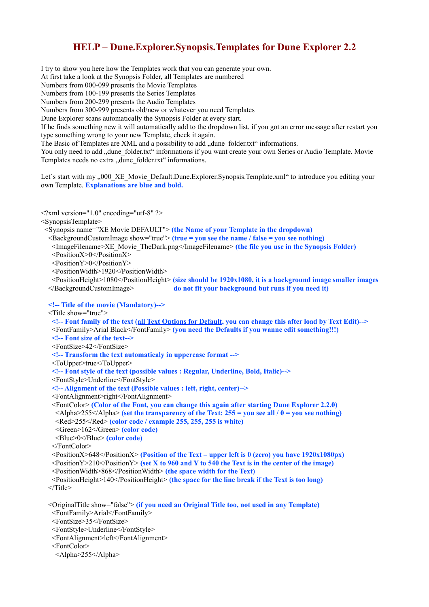## **HELP – Dune.Explorer.Synopsis.Templates for Dune Explorer 2.2**

I try to show you here how the Templates work that you can generate your own. At first take a look at the Synopsis Folder, all Templates are numbered Numbers from 000-099 presents the Movie Templates Numbers from 100-199 presents the Series Templates Numbers from 200-299 presents the Audio Templates Numbers from 300-999 presents old/new or whatever you need Templates Dune Explorer scans automatically the Synopsis Folder at every start. If he finds something new it will automatically add to the dropdown list, if you got an error message after restart you type something wrong to your new Template, check it again. The Basic of Templates are XML and a possibility to add "dune folder.txt" informations. You only need to add "dune folder.txt" informations if you want create your own Series or Audio Template. Movie Templates needs no extra "dune folder.txt" informations.

Let's start with my "000\_XE\_Movie\_Default.Dune.Explorer.Synopsis.Template.xml" to introduce you editing your own Template. **Explanations are blue and bold.**

 $\leq$ ?xml version="1.0" encoding="utf-8" ?>

<SynopsisTemplate>

<Synopsis name="XE Movie DEFAULT"> **(the Name of your Template in the dropdown)**

- <BackgroundCustomImage show="true"> **(true = you see the name / false = you see nothing)**
- <ImageFilename>XE\_Movie\_TheDark.png</ImageFilename> **(the file you use in the Synopsis Folder)**

<PositionX>0</PositionX>

<PositionY>0</PositionY>

<PositionWidth>1920</PositionWidth>

 <PositionHeight>1080</PositionHeight> **(size should be 1920x1080, it is a background image smaller images** </BackgroundCustomImage> **do not fit your background but runs if you need it)**

 **<!-- Title of the movie (Mandatory)-->**

<Title show="true">

 **<!-- Font family of the text (all Text Options for Default, you can change this after load by Text Edit)-->** <FontFamily>Arial Black</FontFamily> **(you need the Defaults if you wanne edit something!!!)**

 **<!-- Font size of the text-->** <FontSize>42</FontSize>

 **<!-- Transform the text automaticaly in uppercase format -->**

<ToUpper>true</ToUpper>

 **<!-- Font style of the text (possible values : Regular, Underline, Bold, Italic)-->**

<FontStyle>Underline</FontStyle>

 **<!-- Alignment of the text (Possible values : left, right, center)-->**

<FontAlignment>right</FontAlignment>

 <FontColor> **(Color of the Font, you can change this again after starting Dune Explorer 2.2.0)** <Alpha>255</Alpha> **(set the transparency of the Text: 255 = you see all / 0 = you see nothing)** <Red>255</Red> **(color code / example 255, 255, 255 is white)**

<Green>162</Green> **(color code)**

<Blue>0</Blue> **(color code)**

</FontColor>

<PositionX>648</PositionX> **(Position of the Text – upper left is 0 (zero) you have 1920x1080px)**

 $\leq$ PositionY $\geq$ 210 $\leq$ PositionY $\geq$  **(set X to 960 and Y to 540 the Text is in the center of the image)** 

<PositionWidth>868</PositionWidth> **(the space width for the Text)**

 <PositionHeight>140</PositionHeight> **(the space for the line break if the Text is too long)** </Title>

 <OriginalTitle show="false"> **(if you need an Original Title too, not used in any Template)** <FontFamily>Arial</FontFamily>

<FontSize>35</FontSize>

<FontStyle>Underline</FontStyle>

<FontAlignment>left</FontAlignment>

<FontColor>

<Alpha>255</Alpha>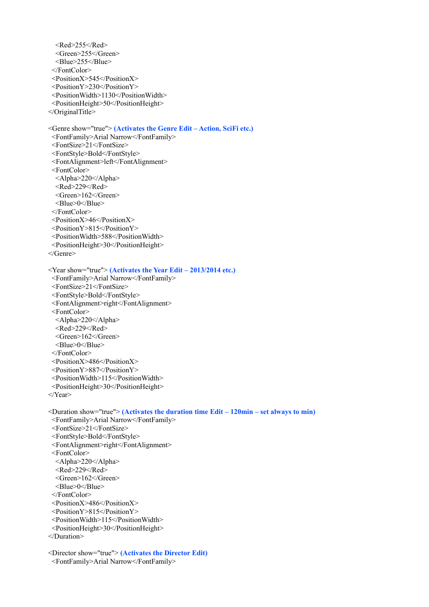$<$ Red $>$ 255 $<$ /Red $>$  <Green>255</Green> <Blue>255</Blue> </FontColor> <PositionX>545</PositionX> <PositionY>230</PositionY> <PositionWidth>1130</PositionWidth> <PositionHeight>50</PositionHeight> </OriginalTitle> <Genre show="true"> **(Activates the Genre Edit – Action, SciFi etc.)** <FontFamily>Arial Narrow</FontFamily> <FontSize>21</FontSize> <FontStyle>Bold</FontStyle>

<FontAlignment>left</FontAlignment>

<FontColor>

 <Alpha>220</Alpha>  $\leq$ Red $\geq$ 229 $\leq$ /Red $\geq$ 

<Green>162</Green>

<Blue>0</Blue>

</FontColor>

<PositionX>46</PositionX>

<PositionY>815</PositionY>

 <PositionWidth>588</PositionWidth> <PositionHeight>30</PositionHeight>

</Genre>

<Year show="true"> **(Activates the Year Edit – 2013/2014 etc.)**

 <FontFamily>Arial Narrow</FontFamily> <FontSize>21</FontSize> <FontStyle>Bold</FontStyle> <FontAlignment>right</FontAlignment> <FontColor> <Alpha>220</Alpha>  $\leq$ Red $\geq$ 229 $\leq$ /Red $\geq$  <Green>162</Green> <Blue>0</Blue> </FontColor> <PositionX>486</PositionX> <PositionY>887</PositionY> <PositionWidth>115</PositionWidth> <PositionHeight>30</PositionHeight>

</Year>

 <Duration show="true"> **(Activates the duration time Edit – 120min – set always to min)** <FontFamily>Arial Narrow</FontFamily> <FontSize>21</FontSize> <FontStyle>Bold</FontStyle> <FontAlignment>right</FontAlignment> <FontColor> <Alpha>220</Alpha>  $\leq$ Red $\geq$ 229 $\leq$ /Red $\geq$  <Green>162</Green> <Blue>0</Blue> </FontColor> <PositionX>486</PositionX> <PositionY>815</PositionY> <PositionWidth>115</PositionWidth> <PositionHeight>30</PositionHeight> </Duration>

 <Director show="true"> **(Activates the Director Edit)** <FontFamily>Arial Narrow</FontFamily>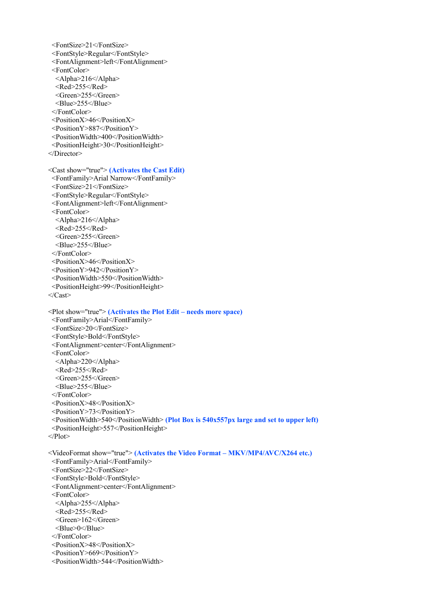- <FontSize>21</FontSize> <FontStyle>Regular</FontStyle> <FontAlignment>left</FontAlignment> <FontColor>  $\langle$ Alpha>216 $\langle$ Alpha>  $<$ Red>255 $<$ /Red> <Green>255</Green> <Blue>255</Blue> </FontColor> <PositionX>46</PositionX> <PositionY>887</PositionY> <PositionWidth>400</PositionWidth> <PositionHeight>30</PositionHeight> </Director> <Cast show="true"> **(Activates the Cast Edit)** <FontFamily>Arial Narrow</FontFamily> <FontSize>21</FontSize> <FontStyle>Regular</FontStyle> <FontAlignment>left</FontAlignment> <FontColor> <Alpha>216</Alpha>  $<$ Red>255 $<$ /Red> <Green>255</Green> <Blue>255</Blue> </FontColor> <PositionX>46</PositionX> <PositionY>942</PositionY> <PositionWidth>550</PositionWidth> <PositionHeight>99</PositionHeight>  $\langle$ Cast $\rangle$  <Plot show="true"> **(Activates the Plot Edit – needs more space)** <FontFamily>Arial</FontFamily> <FontSize>20</FontSize> <FontStyle>Bold</FontStyle> <FontAlignment>center</FontAlignment> <FontColor> <Alpha>220</Alpha>  $<$ Red>255 $<$ /Red> <Green>255</Green> <Blue>255</Blue> </FontColor> <PositionX>48</PositionX> <PositionY>73</PositionY>
- <PositionWidth>540</PositionWidth> **(Plot Box is 540x557px large and set to upper left)**
- <PositionHeight>557</PositionHeight>

```
</Plot>
```
 <VideoFormat show="true"> **(Activates the Video Format – MKV/MP4/AVC/X264 etc.)** <FontFamily>Arial</FontFamily> <FontSize>22</FontSize> <FontStyle>Bold</FontStyle> <FontAlignment>center</FontAlignment> <FontColor> <Alpha>255</Alpha>  $<$ Red>255 $<$ /Red> <Green>162</Green> <Blue>0</Blue> </FontColor> <PositionX>48</PositionX> <PositionY>669</PositionY> <PositionWidth>544</PositionWidth>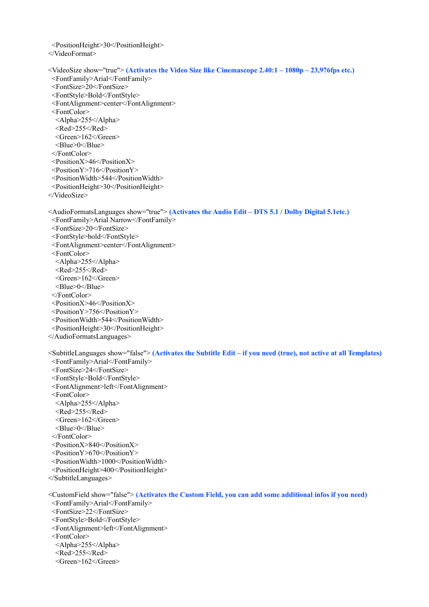<PositionHeight>30</PositionHeight>

</VideoFormat>

```
 <VideoSize show="true"> (Activates the Video Size like Cinemascope 2.40:1 – 1080p – 23,976fps etc.)
 <FontFamily>Arial</FontFamily>
 <FontSize>20</FontSize>
 <FontStyle>Bold</FontStyle>
 <FontAlignment>center</FontAlignment>
 <FontColor>
  <Alpha>255</Alpha>
 <Red>255</Red>
  <Green>162</Green>
  <Blue>0</Blue>
 </FontColor>
 <PositionX>46</PositionX>
 <PositionY>716</PositionY>
 <PositionWidth>544</PositionWidth>
 <PositionHeight>30</PositionHeight>
</VideoSize>
<AudioFormatsLanguages show="true"> (Activates the Audio Edit – DTS 5.1 / Dolby Digital 5.1etc.)
 <FontFamily>Arial Narrow</FontFamily>
 <FontSize>20</FontSize>
 <FontStyle>bold</FontStyle>
 <FontAlignment>center</FontAlignment>
 <FontColor>
  <Alpha>255</Alpha>
 <Red>255</Red>
  <Green>162</Green>
  <Blue>0</Blue>
 </FontColor>
 <PositionX>46</PositionX>
 <PositionY>756</PositionY>
 <PositionWidth>544</PositionWidth>
 <PositionHeight>30</PositionHeight>
</AudioFormatsLanguages>
<SubtitleLanguages show="false"> (Activates the Subtitle Edit – if you need (true), not active at all Templates)
 <FontFamily>Arial</FontFamily>
 <FontSize>24</FontSize>
 <FontStyle>Bold</FontStyle>
 <FontAlignment>left</FontAlignment>
 <FontColor>
  <Alpha>255</Alpha>
 <Red>255</Red>
  <Green>162</Green>
  <Blue>0</Blue>
 </FontColor>
 <PositionX>840</PositionX>
 <PositionY>670</PositionY>
 <PositionWidth>1000</PositionWidth>
 <PositionHeight>400</PositionHeight>
</SubtitleLanguages>
<CustomField show="false"> (Activates the Custom Field, you can add some additional infos if you need)
 <FontFamily>Arial</FontFamily>
 <FontSize>22</FontSize>
 <FontStyle>Bold</FontStyle>
 <FontAlignment>left</FontAlignment>
 <FontColor>
  <Alpha>255</Alpha>
 <Red>255</Red>
  <Green>162</Green>
```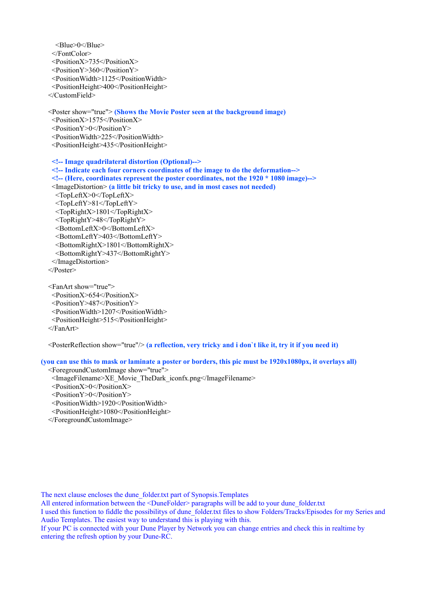```
 <Blue>0</Blue>
 </FontColor>
 <PositionX>735</PositionX>
 <PositionY>360</PositionY>
 <PositionWidth>1125</PositionWidth>
 <PositionHeight>400</PositionHeight>
</CustomField>
<Poster show="true"> (Shows the Movie Poster seen at the background image)
 <PositionX>1575</PositionX>
 <PositionY>0</PositionY>
 <PositionWidth>225</PositionWidth>
 <PositionHeight>435</PositionHeight>
 <!-- Image quadrilateral distortion (Optional)-->
 <!-- Indicate each four corners coordinates of the image to do the deformation-->
 <!-- (Here, coordinates represent the poster coordinates, not the 1920 * 1080 image)-->
 <ImageDistortion> (a little bit tricky to use, and in most cases not needed)
  <TopLeftX>0</TopLeftX>
  <TopLeftY>81</TopLeftY>
  <TopRightX>1801</TopRightX>
  <TopRightY>48</TopRightY>
  <BottomLeftX>0</BottomLeftX>
  <BottomLeftY>403</BottomLeftY>
  <BottomRightX>1801</BottomRightX>
  <BottomRightY>437</BottomRightY>
 </ImageDistortion>
</Poster>
<FanArt show="true">
 <PositionX>654</PositionX>
 <PositionY>487</PositionY>
 <PositionWidth>1207</PositionWidth>
```
<PositionHeight>515</PositionHeight>

```
 </FanArt>
```
<PosterReflection show="true"/> **(a reflection, very tricky and i don`t like it, try it if you need it)**

**(you can use this to mask or laminate a poster or borders, this pic must be 1920x1080px, it overlays all)**

<ForegroundCustomImage show="true">

- <ImageFilename>XE\_Movie\_TheDark\_iconfx.png</ImageFilename>
- <PositionX>0</PositionX>
- <PositionY>0</PositionY>
- <PositionWidth>1920</PositionWidth>
- <PositionHeight>1080</PositionHeight>
- </ForegroundCustomImage>

The next clause encloses the dune\_folder.txt part of Synopsis.Templates

All entered information between the <DuneFolder> paragraphs will be add to your dune folder.txt

I used this function to fiddle the possibilitys of dune\_folder.txt files to show Folders/Tracks/Episodes for my Series and Audio Templates. The easiest way to understand this is playing with this.

If your PC is connected with your Dune Player by Network you can change entries and check this in realtime by entering the refresh option by your Dune-RC.